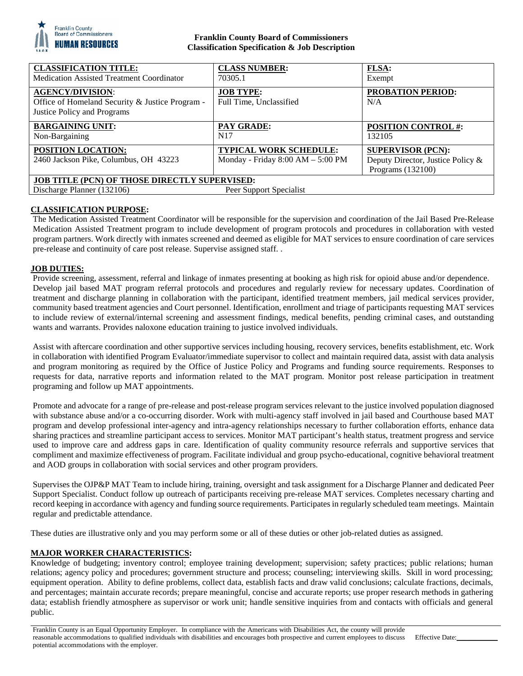

# **Franklin County Board of Commissioners Classification Specification & Job Description**

| <b>CLASSIFICATION TITLE:</b><br><b>Medication Assisted Treatment Coordinator</b>                              | <b>CLASS NUMBER:</b><br>70305.1                                    | <b>FLSA:</b><br>Exempt                                                             |
|---------------------------------------------------------------------------------------------------------------|--------------------------------------------------------------------|------------------------------------------------------------------------------------|
| <b>AGENCY/DIVISION:</b><br>Office of Homeland Security & Justice Program -<br>Justice Policy and Programs     | <b>JOB TYPE:</b><br>Full Time, Unclassified                        | <b>PROBATION PERIOD:</b><br>N/A                                                    |
| <b>BARGAINING UNIT:</b><br>Non-Bargaining                                                                     | <b>PAY GRADE:</b><br>N <sub>17</sub>                               | <b>POSITION CONTROL #:</b><br>132105                                               |
| POSITION LOCATION:<br>2460 Jackson Pike, Columbus, OH 43223                                                   | <b>TYPICAL WORK SCHEDULE:</b><br>Monday - Friday 8:00 AM - 5:00 PM | <b>SUPERVISOR (PCN):</b><br>Deputy Director, Justice Policy &<br>Programs (132100) |
| <b>JOB TITLE (PCN) OF THOSE DIRECTLY SUPERVISED:</b><br>Discharge Planner (132106)<br>Peer Support Specialist |                                                                    |                                                                                    |

# **CLASSIFICATION PURPOSE:**

The Medication Assisted Treatment Coordinator will be responsible for the supervision and coordination of the Jail Based Pre-Release Medication Assisted Treatment program to include development of program protocols and procedures in collaboration with vested program partners. Work directly with inmates screened and deemed as eligible for MAT services to ensure coordination of care services pre-release and continuity of care post release. Supervise assigned staff. .

## **JOB DUTIES:**

Provide screening, assessment, referral and linkage of inmates presenting at booking as high risk for opioid abuse and/or dependence. Develop jail based MAT program referral protocols and procedures and regularly review for necessary updates. Coordination of treatment and discharge planning in collaboration with the participant, identified treatment members, jail medical services provider, community based treatment agencies and Court personnel. Identification, enrollment and triage of participants requesting MAT services to include review of external/internal screening and assessment findings, medical benefits, pending criminal cases, and outstanding wants and warrants. Provides naloxone education training to justice involved individuals.

Assist with aftercare coordination and other supportive services including housing, recovery services, benefits establishment, etc. Work in collaboration with identified Program Evaluator/immediate supervisor to collect and maintain required data, assist with data analysis and program monitoring as required by the Office of Justice Policy and Programs and funding source requirements. Responses to requests for data, narrative reports and information related to the MAT program. Monitor post release participation in treatment programing and follow up MAT appointments.

Promote and advocate for a range of pre-release and post-release program services relevant to the justice involved population diagnosed with substance abuse and/or a co-occurring disorder. Work with multi-agency staff involved in jail based and Courthouse based MAT program and develop professional inter-agency and intra-agency relationships necessary to further collaboration efforts, enhance data sharing practices and streamline participant access to services. Monitor MAT participant's health status, treatment progress and service used to improve care and address gaps in care. Identification of quality community resource referrals and supportive services that compliment and maximize effectiveness of program. Facilitate individual and group psycho-educational, cognitive behavioral treatment and AOD groups in collaboration with social services and other program providers.

Supervises the OJP&P MAT Team to include hiring, training, oversight and task assignment for a Discharge Planner and dedicated Peer Support Specialist. Conduct follow up outreach of participants receiving pre-release MAT services. Completes necessary charting and record keeping in accordance with agency and funding source requirements. Participates in regularly scheduled team meetings. Maintain regular and predictable attendance.

These duties are illustrative only and you may perform some or all of these duties or other job-related duties as assigned.

## **MAJOR WORKER CHARACTERISTICS:**

Knowledge of budgeting; inventory control; employee training development; supervision; safety practices; public relations; human relations; agency policy and procedures; government structure and process; counseling; interviewing skills. Skill in word processing; equipment operation. Ability to define problems, collect data, establish facts and draw valid conclusions; calculate fractions, decimals, and percentages; maintain accurate records; prepare meaningful, concise and accurate reports; use proper research methods in gathering data; establish friendly atmosphere as supervisor or work unit; handle sensitive inquiries from and contacts with officials and general public.